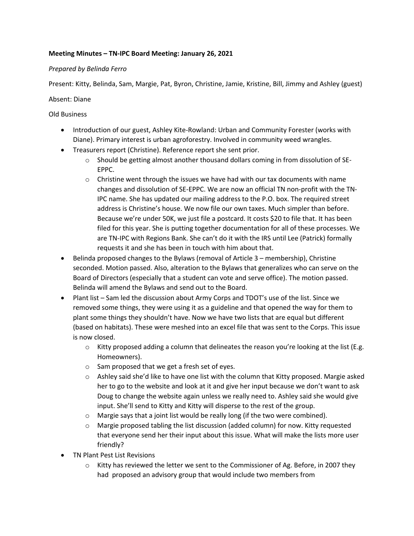# **Meeting Minutes – TN-IPC Board Meeting: January 26, 2021**

### *Prepared by Belinda Ferro*

Present: Kitty, Belinda, Sam, Margie, Pat, Byron, Christine, Jamie, Kristine, Bill, Jimmy and Ashley (guest)

### Absent: Diane

# Old Business

- Introduction of our guest, Ashley Kite-Rowland: Urban and Community Forester (works with Diane). Primary interest is urban agroforestry. Involved in community weed wrangles.
- Treasurers report (Christine). Reference report she sent prior.
	- o Should be getting almost another thousand dollars coming in from dissolution of SE-EPPC.
	- $\circ$  Christine went through the issues we have had with our tax documents with name changes and dissolution of SE-EPPC. We are now an official TN non-profit with the TN-IPC name. She has updated our mailing address to the P.O. box. The required street address is Christine's house. We now file our own taxes. Much simpler than before. Because we're under 50K, we just file a postcard. It costs \$20 to file that. It has been filed for this year. She is putting together documentation for all of these processes. We are TN-IPC with Regions Bank. She can't do it with the IRS until Lee (Patrick) formally requests it and she has been in touch with him about that.
- Belinda proposed changes to the Bylaws (removal of Article 3 membership), Christine seconded. Motion passed. Also, alteration to the Bylaws that generalizes who can serve on the Board of Directors (especially that a student can vote and serve office). The motion passed. Belinda will amend the Bylaws and send out to the Board.
- Plant list Sam led the discussion about Army Corps and TDOT's use of the list. Since we removed some things, they were using it as a guideline and that opened the way for them to plant some things they shouldn't have. Now we have two lists that are equal but different (based on habitats). These were meshed into an excel file that was sent to the Corps. This issue is now closed.
	- $\circ$  Kitty proposed adding a column that delineates the reason you're looking at the list (E.g. Homeowners).
	- o Sam proposed that we get a fresh set of eyes.
	- o Ashley said she'd like to have one list with the column that Kitty proposed. Margie asked her to go to the website and look at it and give her input because we don't want to ask Doug to change the website again unless we really need to. Ashley said she would give input. She'll send to Kitty and Kitty will disperse to the rest of the group.
	- o Margie says that a joint list would be really long (if the two were combined).
	- o Margie proposed tabling the list discussion (added column) for now. Kitty requested that everyone send her their input about this issue. What will make the lists more user friendly?
- TN Plant Pest List Revisions
	- o Kitty has reviewed the letter we sent to the Commissioner of Ag. Before, in 2007 they had proposed an advisory group that would include two members from